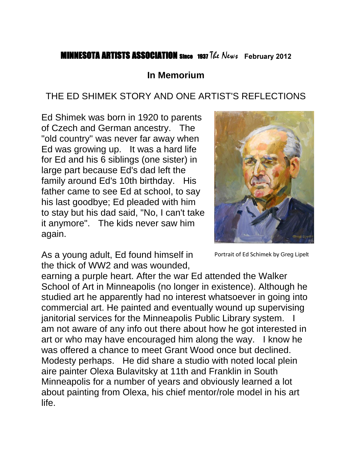### **MINNESOTA ARTISTS ASSOCIATION Since 1937 The News** February 2012

#### **In Memorium**

### THE ED SHIMEK STORY AND ONE ARTIST'S REFLECTIONS

Ed Shimek was born in 1920 to parents of Czech and German ancestry. The "old country" was never far away when Ed was growing up. It was a hard life for Ed and his 6 siblings (one sister) in large part because Ed's dad left the family around Ed's 10th birthday. His father came to see Ed at school, to say his last goodbye; Ed pleaded with him to stay but his dad said, "No, I can't take it anymore". The kids never saw him again.



As a young adult, Ed found himself in the thick of WW2 and was wounded,

Portrait of Ed Schimek by Greg Lipelt

earning a purple heart. After the war Ed attended the Walker School of Art in Minneapolis (no longer in existence). Although he studied art he apparently had no interest whatsoever in going into commercial art. He painted and eventually wound up supervising janitorial services for the Minneapolis Public Library system. am not aware of any info out there about how he got interested in art or who may have encouraged him along the way. I know he was offered a chance to meet Grant Wood once but declined. Modesty perhaps. He did share a studio with noted local plein aire painter Olexa Bulavitsky at 11th and Franklin in South Minneapolis for a number of years and obviously learned a lot about painting from Olexa, his chief mentor/role model in his art life.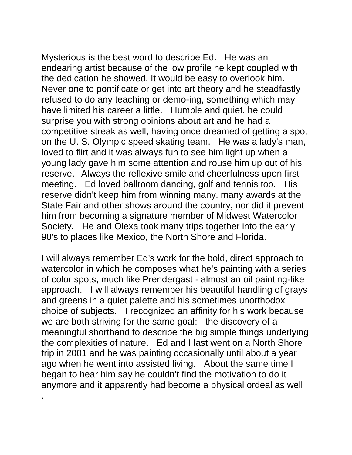Mysterious is the best word to describe Ed. He was an endearing artist because of the low profile he kept coupled with the dedication he showed. It would be easy to overlook him. Never one to pontificate or get into art theory and he steadfastly refused to do any teaching or demo-ing, something which may have limited his career a little. Humble and quiet, he could surprise you with strong opinions about art and he had a competitive streak as well, having once dreamed of getting a spot on the U. S. Olympic speed skating team. He was a lady's man, loved to flirt and it was always fun to see him light up when a young lady gave him some attention and rouse him up out of his reserve. Always the reflexive smile and cheerfulness upon first meeting. Ed loved ballroom dancing, golf and tennis too. His reserve didn't keep him from winning many, many awards at the State Fair and other shows around the country, nor did it prevent him from becoming a signature member of Midwest Watercolor Society. He and Olexa took many trips together into the early 90's to places like Mexico, the North Shore and Florida.

I will always remember Ed's work for the bold, direct approach to watercolor in which he composes what he's painting with a series of color spots, much like Prendergast - almost an oil painting-like approach. I will always remember his beautiful handling of grays and greens in a quiet palette and his sometimes unorthodox choice of subjects. I recognized an affinity for his work because we are both striving for the same goal: the discovery of a meaningful shorthand to describe the big simple things underlying the complexities of nature. Ed and I last went on a North Shore trip in 2001 and he was painting occasionally until about a year ago when he went into assisted living. About the same time I began to hear him say he couldn't find the motivation to do it anymore and it apparently had become a physical ordeal as well

.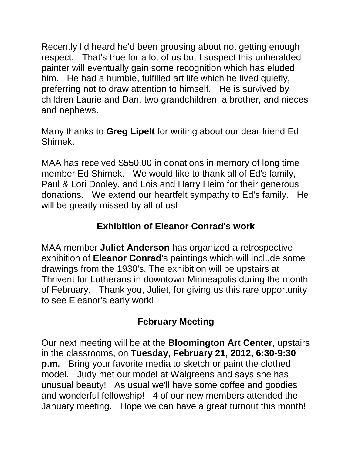Recently I'd heard he'd been grousing about not getting enough respect. That's true for a lot of us but I suspect this unheralded painter will eventually gain some recognition which has eluded him. He had a humble, fulfilled art life which he lived quietly, preferring not to draw attention to himself. He is survived by children Laurie and Dan, two grandchildren, a brother, and nieces and nephews.

Many thanks to **Greg Lipelt** for writing about our dear friend Ed Shimek.

MAA has received \$550.00 in donations in memory of long time member Ed Shimek. We would like to thank all of Ed's family, Paul & Lori Dooley, and Lois and Harry Heim for their generous donations. We extend our heartfelt sympathy to Ed's family. He will be greatly missed by all of us!

### **Exhibition of Eleanor Conrad's work**

MAA member **Juliet Anderson** has organized a retrospective exhibition of **Eleanor Conrad**'s paintings which will include some drawings from the 1930's. The exhibition will be upstairs at Thrivent for Lutherans in downtown Minneapolis during the month of February. Thank you, Juliet, for giving us this rare opportunity to see Eleanor's early work!

## **February Meeting**

Our next meeting will be at the **Bloomington Art Center**, upstairs in the classrooms, on **Tuesday, February 21, 2012, 6:30-9:30 p.m.** Bring your favorite media to sketch or paint the clothed model. Judy met our model at Walgreens and says she has unusual beauty! As usual we'll have some coffee and goodies and wonderful fellowship! 4 of our new members attended the January meeting. Hope we can have a great turnout this month!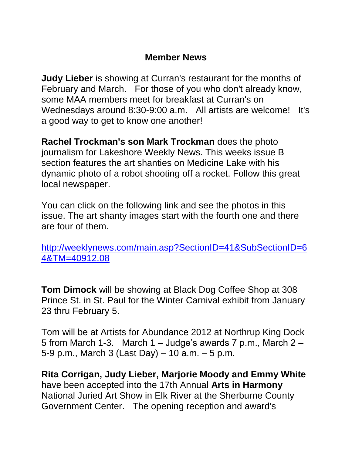#### **Member News**

**Judy Lieber** is showing at Curran's restaurant for the months of February and March. For those of you who don't already know, some MAA members meet for breakfast at Curran's on Wednesdays around 8:30-9:00 a.m. All artists are welcome! It's a good way to get to know one another!

**Rachel Trockman's son Mark Trockman** does the photo journalism for Lakeshore Weekly News. This weeks issue B section features the art shanties on Medicine Lake with his dynamic photo of a robot shooting off a rocket. Follow this great local newspaper.

You can click on the following link and see the photos in this issue. The art shanty images start with the fourth one and there are four of them.

[http://weeklynews.com/main.asp?SectionID=41&SubSectionID=6](http://weeklynews.com/main.asp?SectionID=41&SubSectionID=64&TM=40912.08) [4&TM=40912.08](http://weeklynews.com/main.asp?SectionID=41&SubSectionID=64&TM=40912.08)

**Tom Dimock** will be showing at Black Dog Coffee Shop at 308 Prince St. in St. Paul for the Winter Carnival exhibit from January 23 thru February 5.

Tom will be at Artists for Abundance 2012 at Northrup King Dock 5 from March 1-3. March 1 – Judge's awards 7 p.m., March 2 – 5-9 p.m., March 3 (Last Day) – 10 a.m. – 5 p.m.

**Rita Corrigan, Judy Lieber, Marjorie Moody and Emmy White**  have been accepted into the 17th Annual **Arts in Harmony** National Juried Art Show in Elk River at the Sherburne County Government Center. The opening reception and award's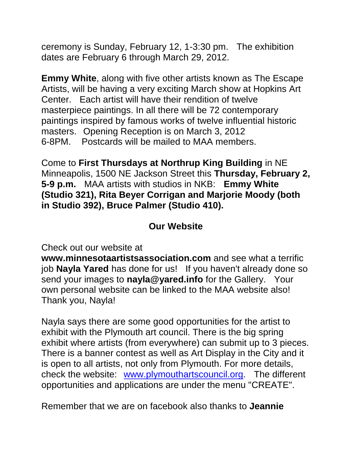ceremony is Sunday, February 12, 1-3:30 pm. The exhibition dates are February 6 through March 29, 2012.

**Emmy White**, along with five other artists known as The Escape Artists, will be having a very exciting March show at Hopkins Art Center. Each artist will have their rendition of twelve masterpiece paintings. In all there will be 72 contemporary paintings inspired by famous works of twelve influential historic masters. Opening Reception is on March 3, 2012 6-8PM. Postcards will be mailed to MAA members.

Come to **First Thursdays at Northrup King Building** in NE Minneapolis, 1500 NE Jackson Street this **Thursday, February 2, 5-9 p.m.** MAA artists with studios in NKB: **Emmy White (Studio 321), Rita Beyer Corrigan and Marjorie Moody (both in Studio 392), Bruce Palmer (Studio 410).**

### **Our Website**

Check out our website at

**www.minnesotaartistsassociation.com** and see what a terrific job **Nayla Yared** has done for us! If you haven't already done so send your images to **nayla@yared.info** for the Gallery. Your own personal website can be linked to the MAA website also! Thank you, Nayla!

Nayla says there are some good opportunities for the artist to exhibit with the Plymouth art council. There is the big spring exhibit where artists (from everywhere) can submit up to 3 pieces. There is a banner contest as well as Art Display in the City and it is open to all artists, not only from Plymouth. For more details, check the website: [www.plymouthartscouncil.org.](http://www.plymouthartscouncil.org/) The different opportunities and applications are under the menu "CREATE".

Remember that we are on facebook also thanks to **Jeannie**